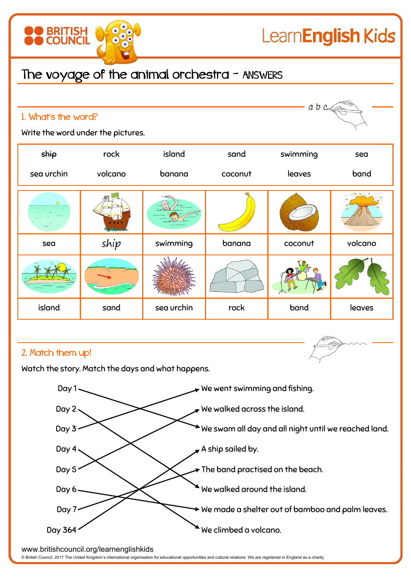

## The voyage of the animal orchestra - ANSWERS

| 1. What's the word?                                                    |         |                   |                                                                        | abc      |         |  |
|------------------------------------------------------------------------|---------|-------------------|------------------------------------------------------------------------|----------|---------|--|
| Write the word under the pictures.                                     |         |                   |                                                                        |          |         |  |
| ship                                                                   | rock    | island            | sand                                                                   | swimming | sea     |  |
| sea urchin                                                             | volcano | banana            | coconut                                                                | leaves   | band    |  |
|                                                                        |         |                   |                                                                        |          |         |  |
| sea                                                                    | ship    | swimming          | banana                                                                 | coconut  | volcano |  |
|                                                                        |         | <b>STATISTICS</b> |                                                                        |          |         |  |
| island                                                                 | sand    | sea urchin        | rock                                                                   | band     | leaves  |  |
| 2. Match them up!<br>Watch the story. Match the days and what happens. |         |                   |                                                                        |          |         |  |
| Day 1<br>$\,\overline{\!\!\mathcal{F}}$ We went swimming and fishing.  |         |                   |                                                                        |          |         |  |
| $\blacktriangleright$ We walked across the island.<br>Day $2 \cdot$    |         |                   |                                                                        |          |         |  |
| Day 3<br>We swam all day and all night until we reached land.          |         |                   |                                                                        |          |         |  |
| Day $4.$                                                               |         |                   | A ship sailed by.                                                      |          |         |  |
| Day 5<br>The band practised on the beach.                              |         |                   |                                                                        |          |         |  |
| We walked around the island.<br>Day 6-                                 |         |                   |                                                                        |          |         |  |
| Day $7 -$                                                              |         |                   | $\blacktriangleright$ We made a shelter out of bamboo and palm leaves. |          |         |  |
| Day 364                                                                |         |                   | We climbed a volcano.                                                  |          |         |  |

www.britishcouncil.org/learnenglishkids

© British Council, 2017 The United Kingdom's international organisation for educational opportunities and cultural relations. We are registered in England as a charity.